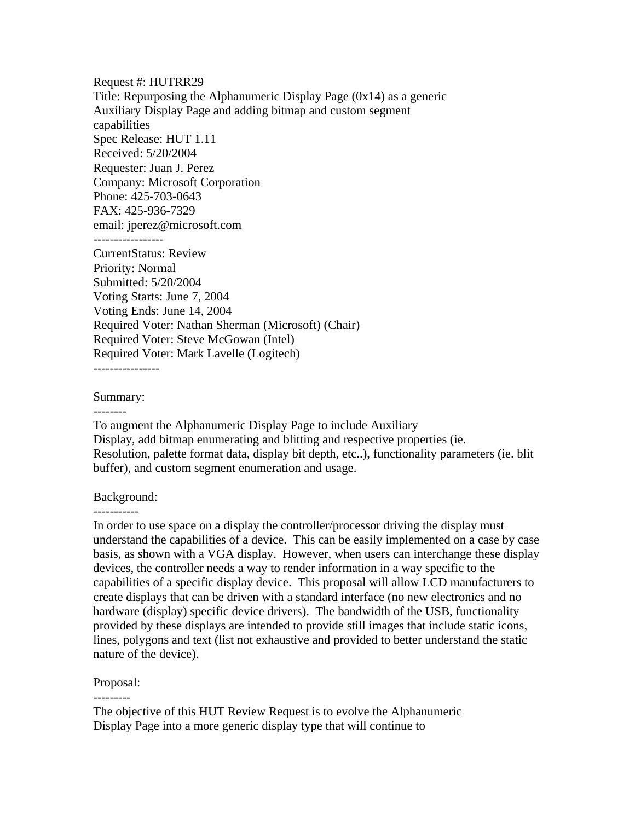Request #: HUTRR29 Title: Repurposing the Alphanumeric Display Page (0x14) as a generic Auxiliary Display Page and adding bitmap and custom segment capabilities Spec Release: HUT 1.11 Received: 5/20/2004 Requester: Juan J. Perez Company: Microsoft Corporation Phone: 425-703-0643 FAX: 425-936-7329 email: jperez@microsoft.com CurrentStatus: Review Priority: Normal Submitted: 5/20/2004 Voting Starts: June 7, 2004 Voting Ends: June 14, 2004 Required Voter: Nathan Sherman (Microsoft) (Chair) Required Voter: Steve McGowan (Intel) Required Voter: Mark Lavelle (Logitech) ----------------

Summary:

--------

To augment the Alphanumeric Display Page to include Auxiliary Display, add bitmap enumerating and blitting and respective properties (ie. Resolution, palette format data, display bit depth, etc..), functionality parameters (ie. blit buffer), and custom segment enumeration and usage.

#### Background:

-----------

In order to use space on a display the controller/processor driving the display must understand the capabilities of a device. This can be easily implemented on a case by case basis, as shown with a VGA display. However, when users can interchange these display devices, the controller needs a way to render information in a way specific to the capabilities of a specific display device. This proposal will allow LCD manufacturers to create displays that can be driven with a standard interface (no new electronics and no hardware (display) specific device drivers). The bandwidth of the USB, functionality provided by these displays are intended to provide still images that include static icons, lines, polygons and text (list not exhaustive and provided to better understand the static nature of the device).

Proposal:

---------

The objective of this HUT Review Request is to evolve the Alphanumeric Display Page into a more generic display type that will continue to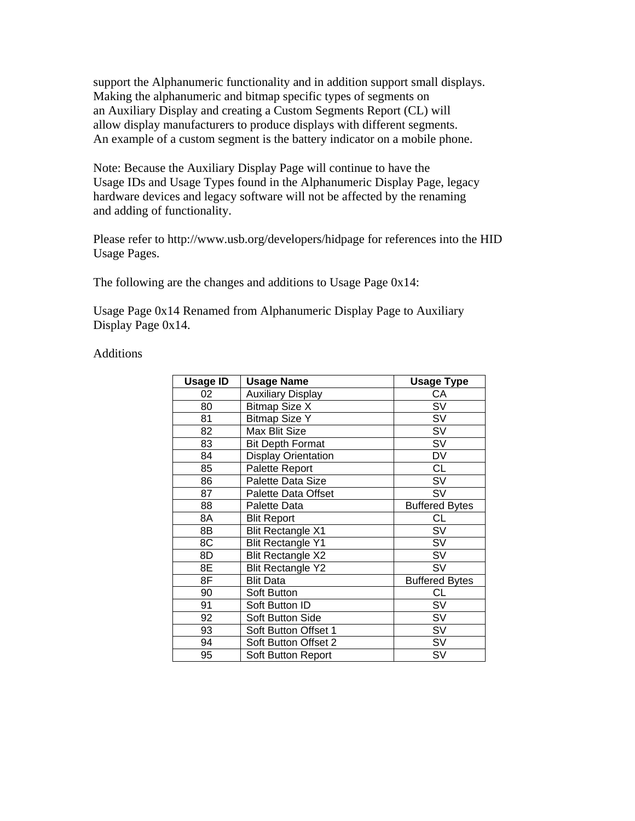support the Alphanumeric functionality and in addition support small displays. Making the alphanumeric and bitmap specific types of segments on an Auxiliary Display and creating a Custom Segments Report (CL) will allow display manufacturers to produce displays with different segments. An example of a custom segment is the battery indicator on a mobile phone.

Note: Because the Auxiliary Display Page will continue to have the Usage IDs and Usage Types found in the Alphanumeric Display Page, legacy hardware devices and legacy software will not be affected by the renaming and adding of functionality.

Please refer to http://www.usb.org/developers/hidpage for references into the HID Usage Pages.

The following are the changes and additions to Usage Page 0x14:

Usage Page 0x14 Renamed from Alphanumeric Display Page to Auxiliary Display Page 0x14.

**Additions** 

| <b>Usage ID</b> | <b>Usage Name</b>          | <b>Usage Type</b>     |
|-----------------|----------------------------|-----------------------|
| 02              | <b>Auxiliary Display</b>   | CA                    |
| 80              | <b>Bitmap Size X</b>       | <b>SV</b>             |
| 81              | <b>Bitmap Size Y</b>       | SV                    |
| 82              | Max Blit Size              | SV                    |
| 83              | <b>Bit Depth Format</b>    | SV                    |
| 84              | <b>Display Orientation</b> | DV                    |
| 85              | Palette Report             | <b>CL</b>             |
| 86              | Palette Data Size          | <b>SV</b>             |
| 87              | Palette Data Offset        | SV                    |
| 88              | Palette Data               | <b>Buffered Bytes</b> |
| 8A              | <b>Blit Report</b>         | <b>CL</b>             |
| 8Β              | <b>Blit Rectangle X1</b>   | SV                    |
| 8C              | <b>Blit Rectangle Y1</b>   | SV                    |
| 8D              | <b>Blit Rectangle X2</b>   | SV                    |
| 8Е              | <b>Blit Rectangle Y2</b>   | <b>SV</b>             |
| 8F              | <b>Blit Data</b>           | <b>Buffered Bytes</b> |
| 90              | Soft Button                | CL                    |
| 91              | Soft Button ID             | SV                    |
| 92              | Soft Button Side           | SV                    |
| 93              | Soft Button Offset 1       | SV                    |
| 94              | Soft Button Offset 2       | SV                    |
| 95              | Soft Button Report         | SV                    |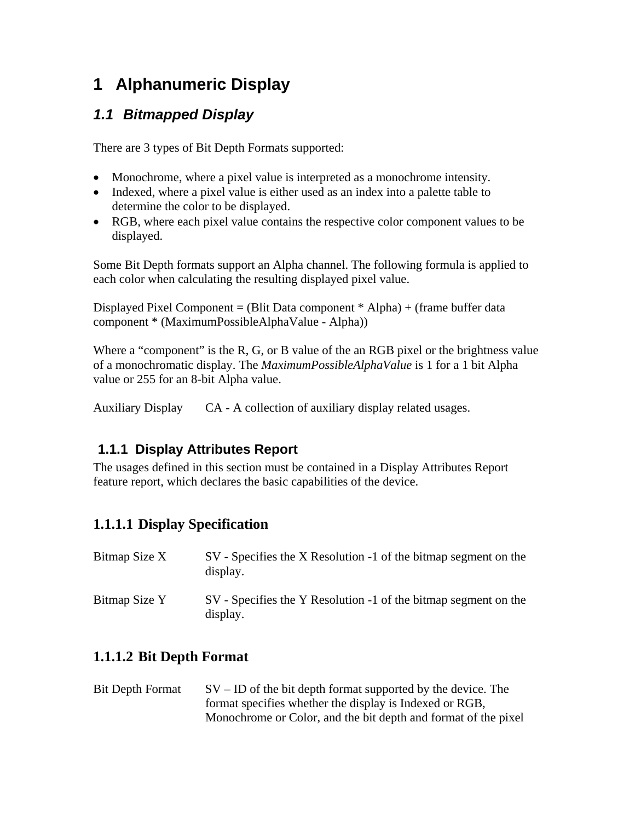# **1 Alphanumeric Display**

## *1.1 Bitmapped Display*

There are 3 types of Bit Depth Formats supported:

- Monochrome, where a pixel value is interpreted as a monochrome intensity.
- Indexed, where a pixel value is either used as an index into a palette table to determine the color to be displayed.
- RGB, where each pixel value contains the respective color component values to be displayed.

Some Bit Depth formats support an Alpha channel. The following formula is applied to each color when calculating the resulting displayed pixel value.

Displayed Pixel Component = (Blit Data component \* Alpha) + (frame buffer data component \* (MaximumPossibleAlphaValue - Alpha))

Where a "component" is the R, G, or B value of the an RGB pixel or the brightness value of a monochromatic display. The *MaximumPossibleAlphaValue* is 1 for a 1 bit Alpha value or 255 for an 8-bit Alpha value.

Auxiliary Display CA - A collection of auxiliary display related usages.

## **1.1.1 Display Attributes Report**

The usages defined in this section must be contained in a Display Attributes Report feature report, which declares the basic capabilities of the device.

## **1.1.1.1 Display Specification**

| Bitmap Size X | SV - Specifies the X Resolution -1 of the bitmap segment on the<br>display. |
|---------------|-----------------------------------------------------------------------------|
| Bitmap Size Y | SV - Specifies the Y Resolution -1 of the bitmap segment on the<br>display. |

## **1.1.1.2 Bit Depth Format**

Bit Depth Format  $SV - ID$  of the bit depth format supported by the device. The format specifies whether the display is Indexed or RGB, Monochrome or Color, and the bit depth and format of the pixel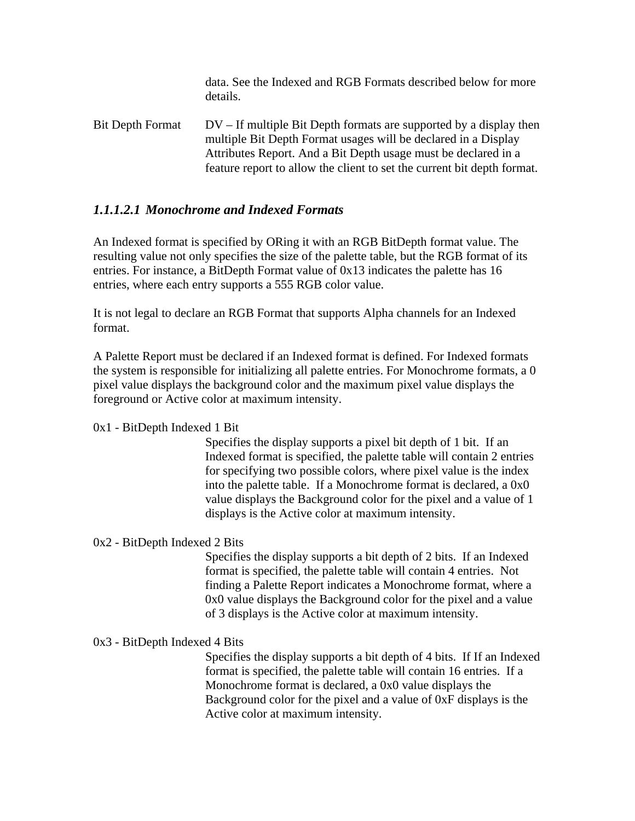data. See the Indexed and RGB Formats described below for more details. Bit Depth Format DV – If multiple Bit Depth formats are supported by a display then multiple Bit Depth Format usages will be declared in a Display Attributes Report. And a Bit Depth usage must be declared in a

feature report to allow the client to set the current bit depth format.

### *1.1.1.2.1 Monochrome and Indexed Formats*

An Indexed format is specified by ORing it with an RGB BitDepth format value. The resulting value not only specifies the size of the palette table, but the RGB format of its entries. For instance, a BitDepth Format value of 0x13 indicates the palette has 16 entries, where each entry supports a 555 RGB color value.

It is not legal to declare an RGB Format that supports Alpha channels for an Indexed format.

A Palette Report must be declared if an Indexed format is defined. For Indexed formats the system is responsible for initializing all palette entries. For Monochrome formats, a 0 pixel value displays the background color and the maximum pixel value displays the foreground or Active color at maximum intensity.

#### 0x1 - BitDepth Indexed 1 Bit

Specifies the display supports a pixel bit depth of 1 bit. If an Indexed format is specified, the palette table will contain 2 entries for specifying two possible colors, where pixel value is the index into the palette table. If a Monochrome format is declared, a 0x0 value displays the Background color for the pixel and a value of 1 displays is the Active color at maximum intensity.

#### 0x2 - BitDepth Indexed 2 Bits

Specifies the display supports a bit depth of 2 bits. If an Indexed format is specified, the palette table will contain 4 entries. Not finding a Palette Report indicates a Monochrome format, where a 0x0 value displays the Background color for the pixel and a value of 3 displays is the Active color at maximum intensity.

#### 0x3 - BitDepth Indexed 4 Bits

Specifies the display supports a bit depth of 4 bits. If If an Indexed format is specified, the palette table will contain 16 entries. If a Monochrome format is declared, a 0x0 value displays the Background color for the pixel and a value of 0xF displays is the Active color at maximum intensity.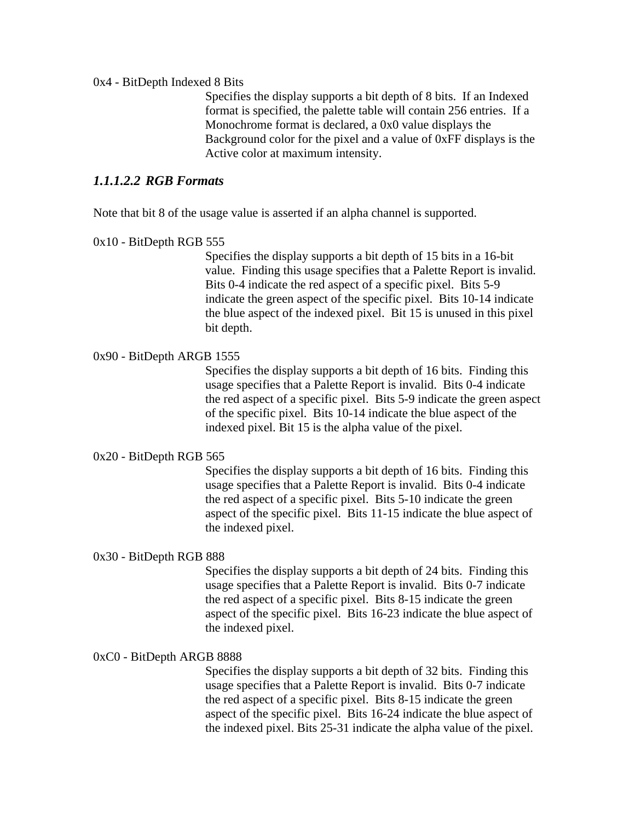#### 0x4 - BitDepth Indexed 8 Bits

Specifies the display supports a bit depth of 8 bits. If an Indexed format is specified, the palette table will contain 256 entries. If a Monochrome format is declared, a 0x0 value displays the Background color for the pixel and a value of 0xFF displays is the Active color at maximum intensity.

#### *1.1.1.2.2 RGB Formats*

Note that bit 8 of the usage value is asserted if an alpha channel is supported.

#### 0x10 - BitDepth RGB 555

Specifies the display supports a bit depth of 15 bits in a 16-bit value. Finding this usage specifies that a Palette Report is invalid. Bits 0-4 indicate the red aspect of a specific pixel. Bits 5-9 indicate the green aspect of the specific pixel. Bits 10-14 indicate the blue aspect of the indexed pixel. Bit 15 is unused in this pixel bit depth.

#### 0x90 - BitDepth ARGB 1555

Specifies the display supports a bit depth of 16 bits. Finding this usage specifies that a Palette Report is invalid. Bits 0-4 indicate the red aspect of a specific pixel. Bits 5-9 indicate the green aspect of the specific pixel. Bits 10-14 indicate the blue aspect of the indexed pixel. Bit 15 is the alpha value of the pixel.

#### 0x20 - BitDepth RGB 565

Specifies the display supports a bit depth of 16 bits. Finding this usage specifies that a Palette Report is invalid. Bits 0-4 indicate the red aspect of a specific pixel. Bits 5-10 indicate the green aspect of the specific pixel. Bits 11-15 indicate the blue aspect of the indexed pixel.

#### 0x30 - BitDepth RGB 888

Specifies the display supports a bit depth of 24 bits. Finding this usage specifies that a Palette Report is invalid. Bits 0-7 indicate the red aspect of a specific pixel. Bits 8-15 indicate the green aspect of the specific pixel. Bits 16-23 indicate the blue aspect of the indexed pixel.

#### 0xC0 - BitDepth ARGB 8888

Specifies the display supports a bit depth of 32 bits. Finding this usage specifies that a Palette Report is invalid. Bits 0-7 indicate the red aspect of a specific pixel. Bits 8-15 indicate the green aspect of the specific pixel. Bits 16-24 indicate the blue aspect of the indexed pixel. Bits 25-31 indicate the alpha value of the pixel.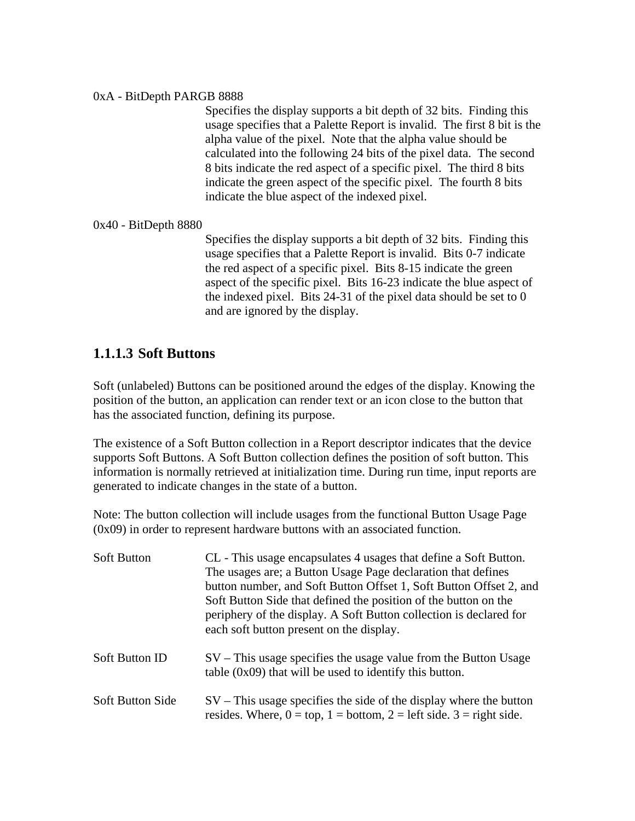#### 0xA - BitDepth PARGB 8888

Specifies the display supports a bit depth of 32 bits. Finding this usage specifies that a Palette Report is invalid. The first 8 bit is the alpha value of the pixel. Note that the alpha value should be calculated into the following 24 bits of the pixel data. The second 8 bits indicate the red aspect of a specific pixel. The third 8 bits indicate the green aspect of the specific pixel. The fourth 8 bits indicate the blue aspect of the indexed pixel.

0x40 - BitDepth 8880

Specifies the display supports a bit depth of 32 bits. Finding this usage specifies that a Palette Report is invalid. Bits 0-7 indicate the red aspect of a specific pixel. Bits 8-15 indicate the green aspect of the specific pixel. Bits 16-23 indicate the blue aspect of the indexed pixel. Bits 24-31 of the pixel data should be set to 0 and are ignored by the display.

### **1.1.1.3 Soft Buttons**

Soft (unlabeled) Buttons can be positioned around the edges of the display. Knowing the position of the button, an application can render text or an icon close to the button that has the associated function, defining its purpose.

The existence of a Soft Button collection in a Report descriptor indicates that the device supports Soft Buttons. A Soft Button collection defines the position of soft button. This information is normally retrieved at initialization time. During run time, input reports are generated to indicate changes in the state of a button.

Note: The button collection will include usages from the functional Button Usage Page (0x09) in order to represent hardware buttons with an associated function.

| <b>Soft Button</b>      | CL - This usage encapsulates 4 usages that define a Soft Button.<br>The usages are; a Button Usage Page declaration that defines<br>button number, and Soft Button Offset 1, Soft Button Offset 2, and<br>Soft Button Side that defined the position of the button on the<br>periphery of the display. A Soft Button collection is declared for<br>each soft button present on the display. |
|-------------------------|---------------------------------------------------------------------------------------------------------------------------------------------------------------------------------------------------------------------------------------------------------------------------------------------------------------------------------------------------------------------------------------------|
| <b>Soft Button ID</b>   | $SV$ – This usage specifies the usage value from the Button Usage<br>table $(0x09)$ that will be used to identify this button.                                                                                                                                                                                                                                                              |
| <b>Soft Button Side</b> | $SV$ – This usage specifies the side of the display where the button<br>resides. Where, $0 = top$ , $1 = bottom$ , $2 = left$ side. $3 = right$ side.                                                                                                                                                                                                                                       |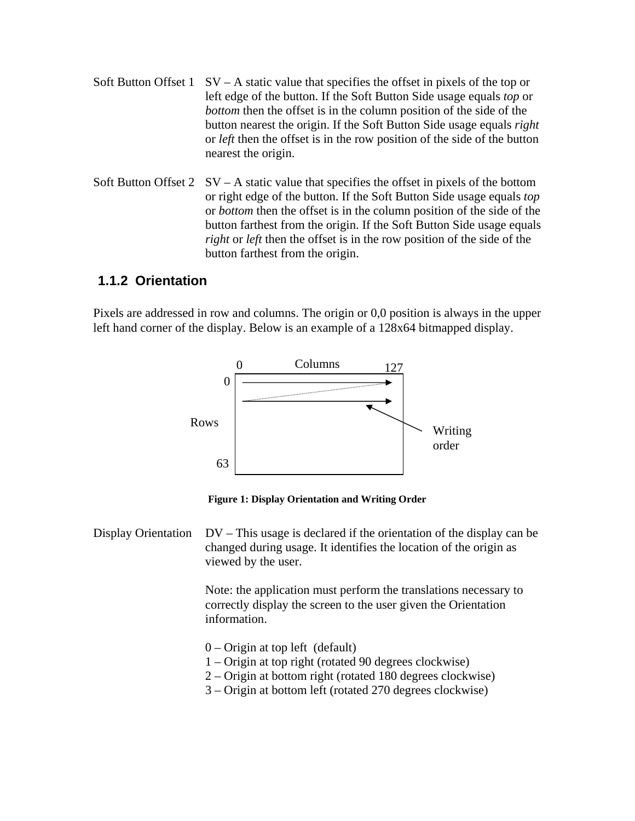- Soft Button Offset 1  $SV A$  static value that specifies the offset in pixels of the top or left edge of the button. If the Soft Button Side usage equals *top* or *bottom* then the offset is in the column position of the side of the button nearest the origin. If the Soft Button Side usage equals *right* or *left* then the offset is in the row position of the side of the button nearest the origin.
- Soft Button Offset  $2 \text{ } SV A$  static value that specifies the offset in pixels of the bottom or right edge of the button. If the Soft Button Side usage equals *top* or *bottom* then the offset is in the column position of the side of the button farthest from the origin. If the Soft Button Side usage equals *right* or *left* then the offset is in the row position of the side of the button farthest from the origin.

### **1.1.2 Orientation**

Pixels are addressed in row and columns. The origin or 0,0 position is always in the upper left hand corner of the display. Below is an example of a 128x64 bitmapped display.



**Figure 1: Display Orientation and Writing Order** 

Display Orientation  $DV - This$  usage is declared if the orientation of the display can be changed during usage. It identifies the location of the origin as viewed by the user.

> Note: the application must perform the translations necessary to correctly display the screen to the user given the Orientation information.

- $0$  Origin at top left (default)
- 1 Origin at top right (rotated 90 degrees clockwise)
- 2 Origin at bottom right (rotated 180 degrees clockwise)
- 3 Origin at bottom left (rotated 270 degrees clockwise)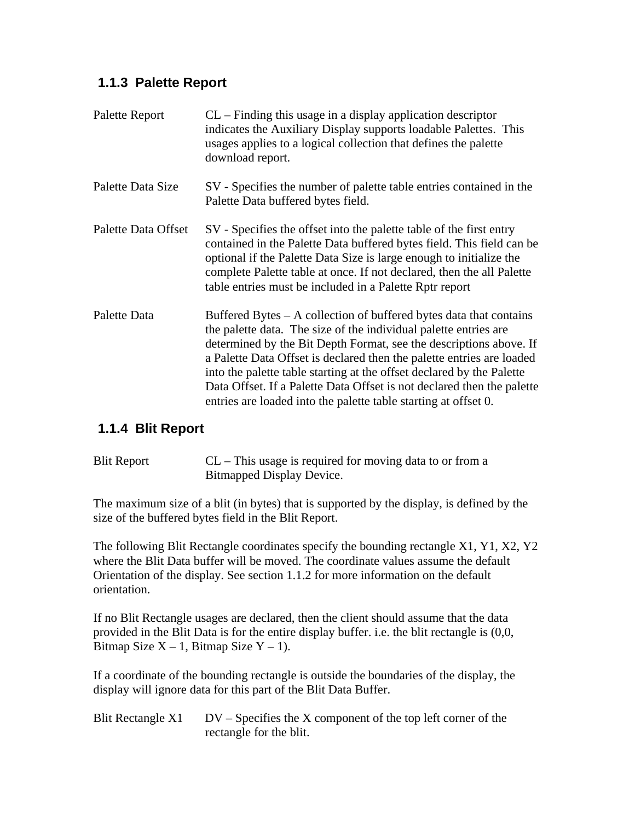### **1.1.3 Palette Report**

| Palette Report      | $CL$ – Finding this usage in a display application descriptor<br>indicates the Auxiliary Display supports loadable Palettes. This<br>usages applies to a logical collection that defines the palette<br>download report.                                                                                                                                                                                                                                                                                    |
|---------------------|-------------------------------------------------------------------------------------------------------------------------------------------------------------------------------------------------------------------------------------------------------------------------------------------------------------------------------------------------------------------------------------------------------------------------------------------------------------------------------------------------------------|
| Palette Data Size   | SV - Specifies the number of palette table entries contained in the<br>Palette Data buffered bytes field.                                                                                                                                                                                                                                                                                                                                                                                                   |
| Palette Data Offset | SV - Specifies the offset into the palette table of the first entry<br>contained in the Palette Data buffered bytes field. This field can be<br>optional if the Palette Data Size is large enough to initialize the<br>complete Palette table at once. If not declared, then the all Palette<br>table entries must be included in a Palette Rptr report                                                                                                                                                     |
| Palette Data        | Buffered Bytes – A collection of buffered bytes data that contains<br>the palette data. The size of the individual palette entries are<br>determined by the Bit Depth Format, see the descriptions above. If<br>a Palette Data Offset is declared then the palette entries are loaded<br>into the palette table starting at the offset declared by the Palette<br>Data Offset. If a Palette Data Offset is not declared then the palette<br>entries are loaded into the palette table starting at offset 0. |

### **1.1.4 Blit Report**

| <b>Blit Report</b> | $CL$ – This usage is required for moving data to or from a |
|--------------------|------------------------------------------------------------|
|                    | Bitmapped Display Device.                                  |

The maximum size of a blit (in bytes) that is supported by the display, is defined by the size of the buffered bytes field in the Blit Report.

The following Blit Rectangle coordinates specify the bounding rectangle X1, Y1, X2, Y2 where the Blit Data buffer will be moved. The coordinate values assume the default Orientation of the display. See section 1.1.2 for more information on the default orientation.

If no Blit Rectangle usages are declared, then the client should assume that the data provided in the Blit Data is for the entire display buffer. i.e. the blit rectangle is (0,0, Bitmap Size  $X - 1$ , Bitmap Size  $Y - 1$ ).

If a coordinate of the bounding rectangle is outside the boundaries of the display, the display will ignore data for this part of the Blit Data Buffer.

| Blit Rectangle X1 | $DV - Specifies the X component of the top left corner of the$ |
|-------------------|----------------------------------------------------------------|
|                   | rectangle for the blit.                                        |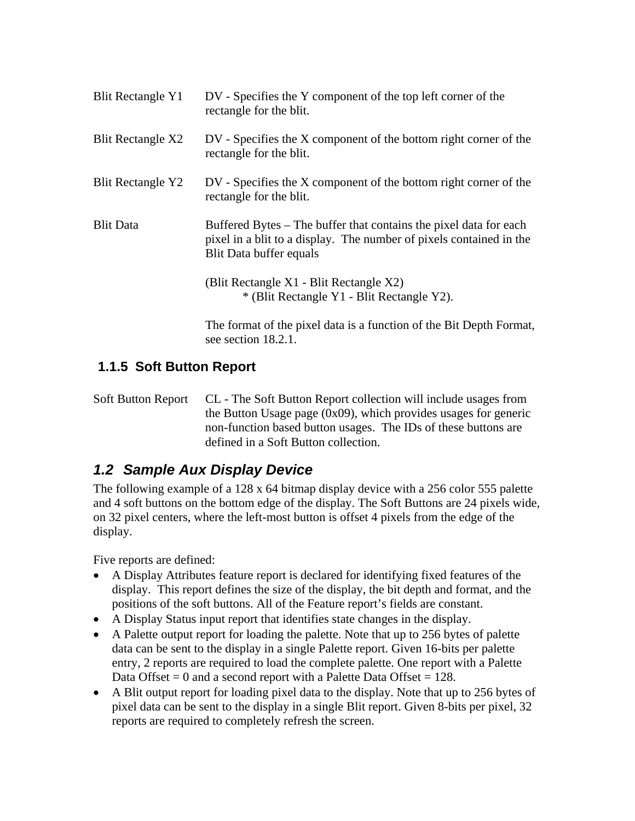| <b>Blit Rectangle Y1</b> | DV - Specifies the Y component of the top left corner of the<br>rectangle for the blit.                                                                             |
|--------------------------|---------------------------------------------------------------------------------------------------------------------------------------------------------------------|
| Blit Rectangle X2        | DV - Specifies the X component of the bottom right corner of the<br>rectangle for the blit.                                                                         |
| <b>Blit Rectangle Y2</b> | DV - Specifies the X component of the bottom right corner of the<br>rectangle for the blit.                                                                         |
| <b>Blit Data</b>         | Buffered Bytes – The buffer that contains the pixel data for each<br>pixel in a blit to a display. The number of pixels contained in the<br>Blit Data buffer equals |
|                          | (Blit Rectangle X1 - Blit Rectangle X2)<br>* (Blit Rectangle Y1 - Blit Rectangle Y2).                                                                               |
|                          | The format of the pixel data is a function of the Bit Depth Format,<br>see section 18.2.1.                                                                          |

## **1.1.5 Soft Button Report**

Soft Button Report CL - The Soft Button Report collection will include usages from the Button Usage page (0x09), which provides usages for generic non-function based button usages. The IDs of these buttons are defined in a Soft Button collection.

## *1.2 Sample Aux Display Device*

The following example of a 128 x 64 bitmap display device with a 256 color 555 palette and 4 soft buttons on the bottom edge of the display. The Soft Buttons are 24 pixels wide, on 32 pixel centers, where the left-most button is offset 4 pixels from the edge of the display.

Five reports are defined:

- A Display Attributes feature report is declared for identifying fixed features of the display. This report defines the size of the display, the bit depth and format, and the positions of the soft buttons. All of the Feature report's fields are constant.
- A Display Status input report that identifies state changes in the display.
- A Palette output report for loading the palette. Note that up to 256 bytes of palette data can be sent to the display in a single Palette report. Given 16-bits per palette entry, 2 reports are required to load the complete palette. One report with a Palette Data Offset  $= 0$  and a second report with a Palette Data Offset  $= 128$ .
- A Blit output report for loading pixel data to the display. Note that up to 256 bytes of pixel data can be sent to the display in a single Blit report. Given 8-bits per pixel, 32 reports are required to completely refresh the screen.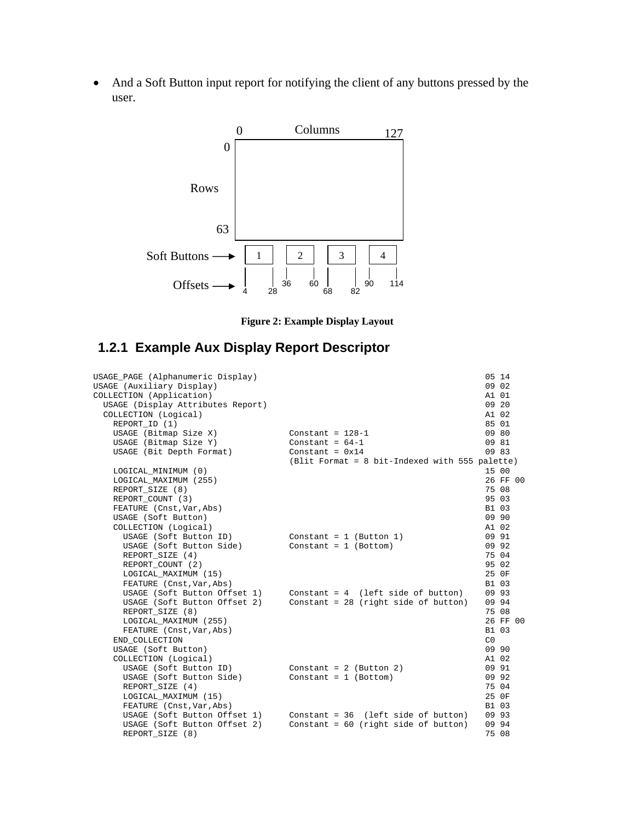• And a Soft Button input report for notifying the client of any buttons pressed by the user.



**Figure 2: Example Display Layout** 

## **1.2.1 Example Aux Display Report Descriptor**

| USAGE_PAGE (Alphanumeric Display) |                                                                    | 05 14          |
|-----------------------------------|--------------------------------------------------------------------|----------------|
| USAGE (Auxiliary Display)         |                                                                    | 09 02          |
| COLLECTION (Application)          |                                                                    | A1 01          |
| USAGE (Display Attributes Report) |                                                                    | 09 20          |
| COLLECTION (Logical)              |                                                                    | A1 02          |
| REPORT_ID (1)                     |                                                                    | 85 01          |
| USAGE (Bitmap Size X)             | Constant = $128-1$                                                 | 09 80          |
| USAGE (Bitmap Size Y)             | Constant = $64-1$                                                  | 09 81          |
| USAGE (Bit Depth Format)          | Constant = $0x14$                                                  | 09 83          |
|                                   | (Blit Format = 8 bit-Indexed with 555 palette)                     |                |
| LOGICAL MINIMUM (0)               |                                                                    | 15 00          |
| LOGICAL MAXIMUM (255)             |                                                                    | 26 FF 00       |
| REPORT_SIZE (8)                   |                                                                    | 75 08          |
| REPORT COUNT (3)                  |                                                                    | 95 03          |
| FEATURE (Cnst, Var, Abs)          |                                                                    | B1 03          |
| USAGE (Soft Button)               |                                                                    | 09 90          |
| COLLECTION (Logical)              |                                                                    | A1 02          |
| USAGE (Soft Button ID)            | Constant = $1$ (Button 1)                                          | 09 91          |
| USAGE (Soft Button Side)          | $Constant = 1 (Bottom)$                                            | 09 92          |
| REPORT_SIZE (4)                   |                                                                    | 75 04          |
| REPORT_COUNT (2)                  |                                                                    | 95 02          |
| LOGICAL MAXIMUM (15)              |                                                                    | 25 OF          |
| FEATURE (Cnst, Var, Abs)          |                                                                    | B1 03          |
|                                   | USAGE (Soft Button Offset $1$ ) Constant = 4 (left side of button) | 09 93          |
| USAGE (Soft Button Offset 2)      | Constant = $28$ (right side of button)                             | 09 94          |
| REPORT SIZE (8)                   |                                                                    | 75 08          |
| LOGICAL MAXIMUM (255)             |                                                                    | 26 FF 00       |
| FEATURE (Cnst, Var, Abs)          |                                                                    | B1 03          |
| END_COLLECTION                    |                                                                    | C <sub>0</sub> |
| USAGE (Soft Button)               |                                                                    | 09 90          |
| COLLECTION (Logical)              |                                                                    | A1 02          |
| USAGE (Soft Button ID)            | Constant = $2$ (Button 2)                                          | 09 91          |
| USAGE (Soft Button Side)          | Constant = $1$ (Bottom)                                            | 09 92          |
| REPORT SIZE (4)                   |                                                                    | 75 04          |
| LOGICAL MAXIMUM (15)              |                                                                    | 25 OF          |
| FEATURE (Cnst, Var, Abs)          |                                                                    | B1 03          |
|                                   | USAGE (Soft Button Offset 1) Constant = 36 (left side of button)   | 09 93          |
| USAGE (Soft Button Offset 2)      | Constant = $60$ (right side of button)                             | 09 94          |
| REPORT_SIZE (8)                   |                                                                    | 75 08          |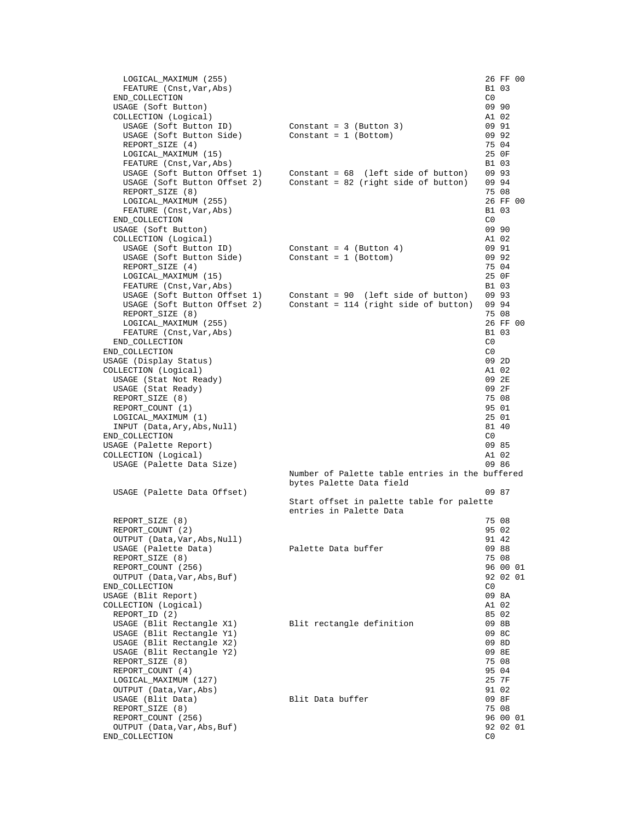| LOGICAL MAXIMUM (255)                                  |                                                                             | 26 FF 00                |
|--------------------------------------------------------|-----------------------------------------------------------------------------|-------------------------|
| FEATURE (Cnst, Var, Abs)<br>END_COLLECTION             |                                                                             | B1 03<br>C0             |
| USAGE (Soft Button)                                    |                                                                             | 09 90                   |
| COLLECTION (Logical)                                   |                                                                             | A1 02                   |
| USAGE (Soft Button ID)                                 | $Constant = 3 (Button 3)$                                                   | 09 91                   |
| USAGE (Soft Button Side)                               | $Constant = 1 (Bottom)$                                                     | 09 92                   |
| REPORT_SIZE (4)                                        |                                                                             | 75 04                   |
| LOGICAL MAXIMUM (15)<br>FEATURE (Cnst, Var, Abs)       |                                                                             | 25 OF<br>B1 03          |
|                                                        | USAGE (Soft Button Offset 1) Constant = 68 (left side of button)            | 09 93                   |
| USAGE (Soft Button Offset 2)                           | Constant = 82 (right side of button)                                        | 09 94                   |
| REPORT_SIZE (8)                                        |                                                                             | 75 08                   |
| LOGICAL MAXIMUM (255)                                  |                                                                             | 26 FF 00                |
| FEATURE (Cnst, Var, Abs)                               |                                                                             | B1 03                   |
| END_COLLECTION<br>USAGE (Soft Button)                  |                                                                             | C0<br>09 90             |
| COLLECTION (Logical)                                   |                                                                             | A1 02                   |
| USAGE (Soft Button ID)                                 | $Constant = 4 (Button 4)$                                                   | 09 91                   |
| USAGE (Soft Button Side)                               | $Constant = 1 (Bottom)$                                                     | 09 92                   |
| REPORT_SIZE (4)                                        |                                                                             | 75 04                   |
| LOGICAL MAXIMUM (15)                                   |                                                                             | 25 OF                   |
| FEATURE (Cnst, Var, Abs)                               | USAGE (Soft Button Offset 1) Constant = 90 (left side of button)            | B1 03<br>09 93          |
|                                                        | USAGE (Soft Button Offset 2) Constant = $114$ (right side of button)        | 09 94                   |
| REPORT_SIZE (8)                                        |                                                                             | 75 08                   |
| LOGICAL MAXIMUM (255)                                  |                                                                             | 26 FF 00                |
| FEATURE (Cnst, Var, Abs)                               |                                                                             | B1 03                   |
| END_COLLECTION                                         |                                                                             | CO                      |
| END_COLLECTION                                         |                                                                             | C0                      |
| USAGE (Display Status)<br>COLLECTION (Logical)         |                                                                             | 09 2D<br>A1 02          |
| USAGE (Stat Not Ready)                                 |                                                                             | 09 2E                   |
| USAGE (Stat Ready)                                     |                                                                             | 09 2F                   |
| REPORT_SIZE (8)                                        |                                                                             | 75 08                   |
| REPORT_COUNT (1)                                       |                                                                             | 95 01                   |
| LOGICAL MAXIMUM (1)                                    |                                                                             | 25 01                   |
| INPUT (Data, Ary, Abs, Null)<br>END_COLLECTION         |                                                                             | 81 40<br>C0             |
| USAGE (Palette Report)                                 |                                                                             | 09 85                   |
| COLLECTION (Logical)                                   |                                                                             | A1 02                   |
| USAGE (Palette Data Size)                              |                                                                             | 09 86                   |
|                                                        | Number of Palette table entries in the buffered<br>bytes Palette Data field |                         |
| USAGE (Palette Data Offset)                            |                                                                             | 09 87                   |
|                                                        | Start offset in palette table for palette                                   |                         |
| REPORT_SIZE (8)                                        | entries in Palette Data                                                     | 75 08                   |
| REPORT_COUNT (2)                                       |                                                                             | 95 02                   |
| OUTPUT (Data, Var, Abs, Null)                          |                                                                             | 91 42                   |
| USAGE (Palette Data)                                   | Palette Data buffer                                                         | 09 88                   |
| REPORT_SIZE (8)                                        |                                                                             | 75 08                   |
| REPORT_COUNT (256)                                     |                                                                             | 96 00 01                |
| OUTPUT (Data, Var, Abs, Buf)<br>END_COLLECTION         |                                                                             | 92 02 01<br>$_{\rm C0}$ |
| USAGE (Blit Report)                                    |                                                                             | 09 8A                   |
| COLLECTION (Logical)                                   |                                                                             | A1 02                   |
| REPORT_ID (2)                                          |                                                                             | 85 02                   |
| USAGE (Blit Rectangle X1)                              | Blit rectangle definition                                                   | 09 8B                   |
| USAGE (Blit Rectangle Y1)<br>USAGE (Blit Rectangle X2) |                                                                             | 09 8C                   |
| USAGE (Blit Rectangle Y2)                              |                                                                             | 09 8D<br>09 8E          |
| REPORT_SIZE (8)                                        |                                                                             | 75 08                   |
| REPORT_COUNT (4)                                       |                                                                             | 95 04                   |
| LOGICAL_MAXIMUM (127)                                  |                                                                             | 25 7F                   |
| OUTPUT (Data, Var, Abs)                                |                                                                             | 91 02                   |
| USAGE (Blit Data)                                      | Blit Data buffer                                                            | 09 8F                   |
| REPORT_SIZE (8)<br>REPORT_COUNT (256)                  |                                                                             | 75 08<br>96 00 01       |
| OUTPUT (Data, Var, Abs, Buf)                           |                                                                             | 92 02 01                |
| END_COLLECTION                                         |                                                                             | $_{\rm C0}$             |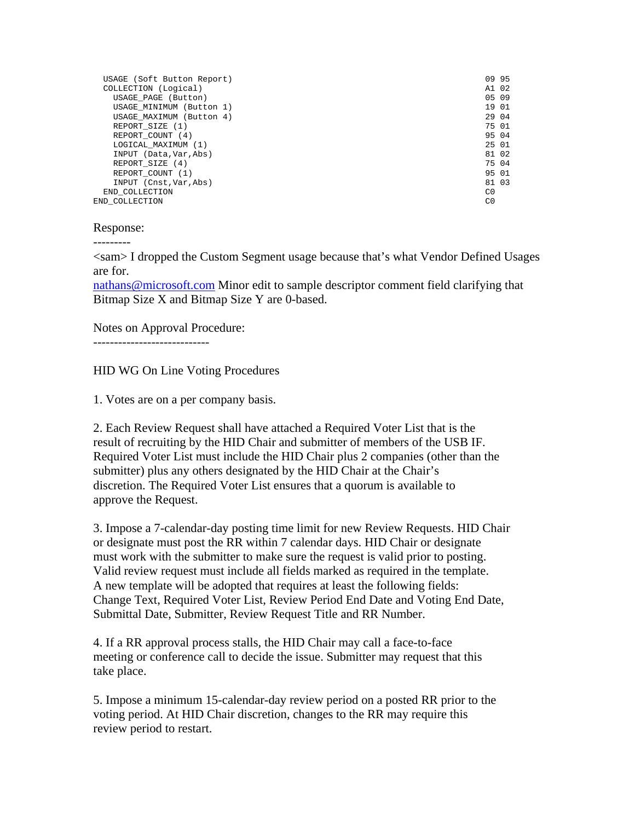| USAGE (Soft Button Report) | 09 95          |
|----------------------------|----------------|
| COLLECTION (Logical)       | A1 02          |
| USAGE PAGE (Button)        | 05 09          |
| USAGE MINIMUM (Button 1)   | 19 01          |
| USAGE MAXIMUM (Button 4)   | 29 04          |
| REPORT SIZE (1)            | 75 01          |
| REPORT COUNT (4)           | 95 04          |
| LOGICAL MAXIMUM (1)        | 25 01          |
| INPUT (Data, Var, Abs)     | 81 02          |
| REPORT SIZE (4)            | 75 04          |
| REPORT COUNT (1)           | 95 01          |
| INPUT (Cnst, Var, Abs)     | 81 03          |
| END COLLECTION             | C0             |
| END COLLECTION             | C <sub>0</sub> |

#### Response:

---------

<sam> I dropped the Custom Segment usage because that's what Vendor Defined Usages are for.

nathans@microsoft.com Minor edit to sample descriptor comment field clarifying that Bitmap Size X and Bitmap Size Y are 0-based.

Notes on Approval Procedure:

----------------------------

HID WG On Line Voting Procedures

1. Votes are on a per company basis.

2. Each Review Request shall have attached a Required Voter List that is the result of recruiting by the HID Chair and submitter of members of the USB IF. Required Voter List must include the HID Chair plus 2 companies (other than the submitter) plus any others designated by the HID Chair at the Chair's discretion. The Required Voter List ensures that a quorum is available to approve the Request.

3. Impose a 7-calendar-day posting time limit for new Review Requests. HID Chair or designate must post the RR within 7 calendar days. HID Chair or designate must work with the submitter to make sure the request is valid prior to posting. Valid review request must include all fields marked as required in the template. A new template will be adopted that requires at least the following fields: Change Text, Required Voter List, Review Period End Date and Voting End Date, Submittal Date, Submitter, Review Request Title and RR Number.

4. If a RR approval process stalls, the HID Chair may call a face-to-face meeting or conference call to decide the issue. Submitter may request that this take place.

5. Impose a minimum 15-calendar-day review period on a posted RR prior to the voting period. At HID Chair discretion, changes to the RR may require this review period to restart.